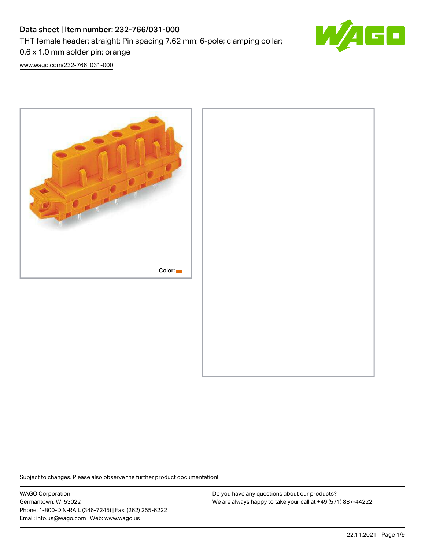# Data sheet | Item number: 232-766/031-000

THT female header; straight; Pin spacing 7.62 mm; 6-pole; clamping collar;

50

[www.wago.com/232-766\\_031-000](http://www.wago.com/232-766_031-000)

0.6 x 1.0 mm solder pin; orange



Subject to changes. Please also observe the further product documentation!

WAGO Corporation Germantown, WI 53022 Phone: 1-800-DIN-RAIL (346-7245) | Fax: (262) 255-6222 Email: info.us@wago.com | Web: www.wago.us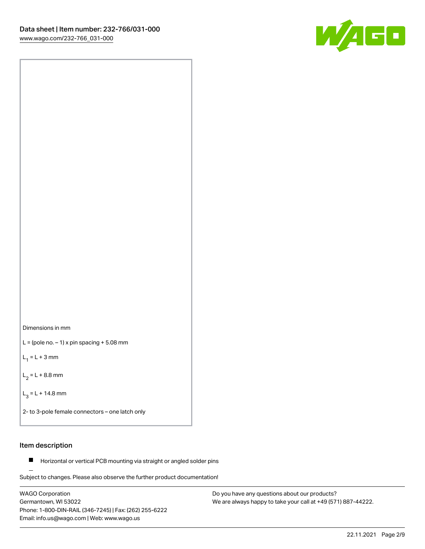



 $L =$  (pole no.  $-1$ ) x pin spacing  $+5.08$  mm

 $L_1 = L + 3$  mm

 $L_2 = L + 8.8$  mm

 $L_3 = L + 14.8$  mm

2- to 3-pole female connectors – one latch only

### Item description

**Horizontal or vertical PCB mounting via straight or angled solder pins** 

Subject to changes. Please also observe the further product documentation! For board-to-board and board-to-wire connections

WAGO Corporation Germantown, WI 53022 Phone: 1-800-DIN-RAIL (346-7245) | Fax: (262) 255-6222 Email: info.us@wago.com | Web: www.wago.us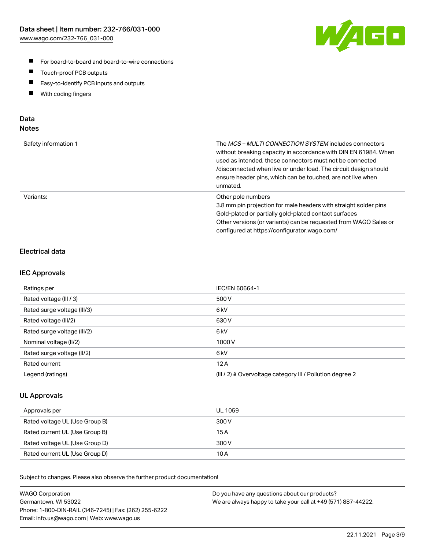

- For board-to-board and board-to-wire connections
- $\blacksquare$ Touch-proof PCB outputs
- $\blacksquare$ Easy-to-identify PCB inputs and outputs
- $\blacksquare$ With coding fingers

### Data **Notes**

| Safety information 1 | The <i>MCS – MULTI CONNECTION SYSTEM</i> includes connectors<br>without breaking capacity in accordance with DIN EN 61984. When<br>used as intended, these connectors must not be connected<br>/disconnected when live or under load. The circuit design should<br>ensure header pins, which can be touched, are not live when<br>unmated. |
|----------------------|--------------------------------------------------------------------------------------------------------------------------------------------------------------------------------------------------------------------------------------------------------------------------------------------------------------------------------------------|
| Variants:            | Other pole numbers<br>3.8 mm pin projection for male headers with straight solder pins<br>Gold-plated or partially gold-plated contact surfaces<br>Other versions (or variants) can be requested from WAGO Sales or<br>configured at https://configurator.wago.com/                                                                        |

# Electrical data

### IEC Approvals

| Ratings per                 | IEC/EN 60664-1                                                        |
|-----------------------------|-----------------------------------------------------------------------|
| Rated voltage (III / 3)     | 500 V                                                                 |
| Rated surge voltage (III/3) | 6 <sub>kV</sub>                                                       |
| Rated voltage (III/2)       | 630 V                                                                 |
| Rated surge voltage (III/2) | 6 <sub>kV</sub>                                                       |
| Nominal voltage (II/2)      | 1000 V                                                                |
| Rated surge voltage (II/2)  | 6 <sub>kV</sub>                                                       |
| Rated current               | 12A                                                                   |
| Legend (ratings)            | $(III / 2)$ $\triangle$ Overvoltage category III / Pollution degree 2 |

### UL Approvals

| Approvals per                  | UL 1059 |
|--------------------------------|---------|
| Rated voltage UL (Use Group B) | 300 V   |
| Rated current UL (Use Group B) | 15 A    |
| Rated voltage UL (Use Group D) | 300 V   |
| Rated current UL (Use Group D) | 10 A    |

Subject to changes. Please also observe the further product documentation!

| <b>WAGO Corporation</b>                                | Do you have any questions about our products?                 |
|--------------------------------------------------------|---------------------------------------------------------------|
| Germantown, WI 53022                                   | We are always happy to take your call at +49 (571) 887-44222. |
| Phone: 1-800-DIN-RAIL (346-7245)   Fax: (262) 255-6222 |                                                               |
| Email: info.us@wago.com   Web: www.wago.us             |                                                               |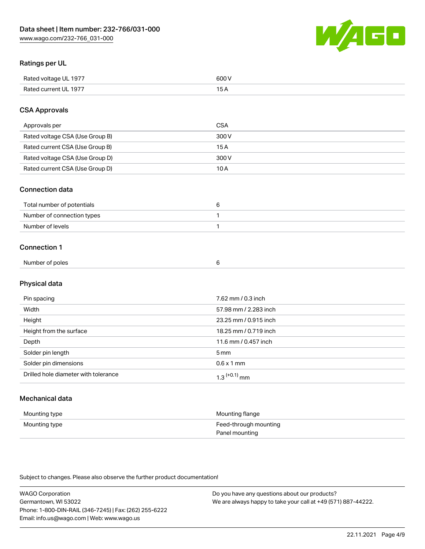

### Ratings per UL

| Rated voltage UL 1977 | soo v<br>วบบ<br>. |
|-----------------------|-------------------|
| Rated current UL 1977 | --                |
|                       | . J <i>r</i>      |

### CSA Approvals

| Approvals per                   | CSA   |
|---------------------------------|-------|
| Rated voltage CSA (Use Group B) | 300 V |
| Rated current CSA (Use Group B) | 15 A  |
| Rated voltage CSA (Use Group D) | 300 V |
| Rated current CSA (Use Group D) | 10 A  |

### Connection data

| Total number of potentials |  |
|----------------------------|--|
| Number of connection types |  |
| Number of levels           |  |

### Connection 1

| Number of poles |  |
|-----------------|--|
|                 |  |

# Physical data

| Pin spacing                          | 7.62 mm / 0.3 inch    |
|--------------------------------------|-----------------------|
| Width                                | 57.98 mm / 2.283 inch |
| Height                               | 23.25 mm / 0.915 inch |
| Height from the surface              | 18.25 mm / 0.719 inch |
| Depth                                | 11.6 mm / 0.457 inch  |
| Solder pin length                    | 5 <sub>mm</sub>       |
| Solder pin dimensions                | $0.6 \times 1$ mm     |
| Drilled hole diameter with tolerance | $1.3$ $(+0.1)$ mm     |

# Mechanical data

| Mounting type | Mounting flange                         |
|---------------|-----------------------------------------|
| Mounting type | Feed-through mounting<br>Panel mounting |

Subject to changes. Please also observe the further product documentation!

| <b>WAGO Corporation</b>                                | Do you have any questions about our products?                 |
|--------------------------------------------------------|---------------------------------------------------------------|
| Germantown, WI 53022                                   | We are always happy to take your call at +49 (571) 887-44222. |
| Phone: 1-800-DIN-RAIL (346-7245)   Fax: (262) 255-6222 |                                                               |
| Email: info.us@wago.com   Web: www.wago.us             |                                                               |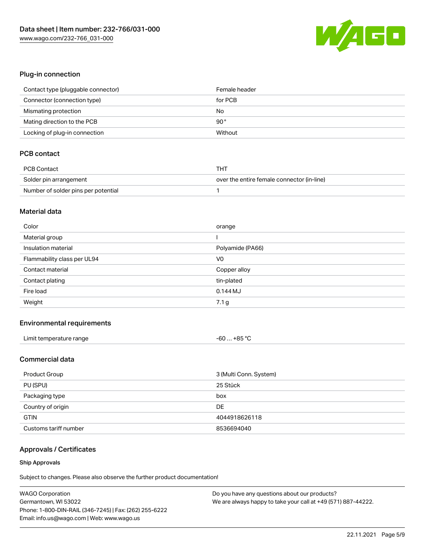

### Plug-in connection

| Contact type (pluggable connector) | Female header |
|------------------------------------|---------------|
| Connector (connection type)        | for PCB       |
| Mismating protection               | No            |
| Mating direction to the PCB        | $90^{\circ}$  |
| Locking of plug-in connection      | Without       |

# PCB contact

| PCB Contact                         | тнт                                        |
|-------------------------------------|--------------------------------------------|
| Solder pin arrangement              | over the entire female connector (in-line) |
| Number of solder pins per potential |                                            |

#### Material data

| Color                       | orange           |
|-----------------------------|------------------|
| Material group              |                  |
| Insulation material         | Polyamide (PA66) |
| Flammability class per UL94 | V <sub>0</sub>   |
|                             |                  |
| Contact material            | Copper alloy     |
| Contact plating             | tin-plated       |
| Fire load                   | $0.144$ MJ       |

### Environmental requirements

| Limit temperature range | $-60+85 °C$ |
|-------------------------|-------------|
|-------------------------|-------------|

### Commercial data

| Product Group         | 3 (Multi Conn. System) |  |
|-----------------------|------------------------|--|
| PU (SPU)<br>25 Stück  |                        |  |
| Packaging type<br>box |                        |  |
| Country of origin     | DE                     |  |
| <b>GTIN</b>           | 4044918626118          |  |
| Customs tariff number | 8536694040             |  |

# Approvals / Certificates

#### Ship Approvals

Subject to changes. Please also observe the further product documentation!

| <b>WAGO Corporation</b>                                | Do you have any questions about our products?                 |
|--------------------------------------------------------|---------------------------------------------------------------|
| Germantown, WI 53022                                   | We are always happy to take your call at +49 (571) 887-44222. |
| Phone: 1-800-DIN-RAIL (346-7245)   Fax: (262) 255-6222 |                                                               |
| Email: info.us@wago.com   Web: www.wago.us             |                                                               |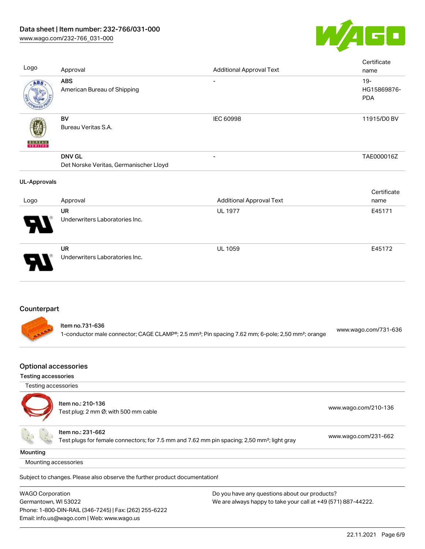

| Logo                                        | Approval                                                                                                                     | <b>Additional Approval Text</b>                                                                                           | Certificate<br>name                 |
|---------------------------------------------|------------------------------------------------------------------------------------------------------------------------------|---------------------------------------------------------------------------------------------------------------------------|-------------------------------------|
| ABS                                         | <b>ABS</b><br>American Bureau of Shipping                                                                                    |                                                                                                                           | $19 -$<br>HG15869876-<br><b>PDA</b> |
|                                             | BV<br>Bureau Veritas S.A.                                                                                                    | <b>IEC 60998</b>                                                                                                          | 11915/D0 BV                         |
|                                             | <b>DNV GL</b><br>Det Norske Veritas, Germanischer Lloyd                                                                      |                                                                                                                           | TAE000016Z                          |
| <b>UL-Approvals</b><br>Logo                 | Approval                                                                                                                     | <b>Additional Approval Text</b>                                                                                           | Certificate<br>name                 |
|                                             | <b>UR</b><br>Underwriters Laboratories Inc.                                                                                  | <b>UL 1977</b>                                                                                                            | E45171                              |
|                                             | <b>UR</b><br>Underwriters Laboratories Inc.                                                                                  | UL 1059                                                                                                                   | E45172                              |
| Counterpart                                 | Item no.731-636                                                                                                              |                                                                                                                           | www.wago.com/731-636                |
|                                             |                                                                                                                              | 1-conductor male connector; CAGE CLAMP®; 2.5 mm <sup>2</sup> ; Pin spacing 7.62 mm; 6-pole; 2,50 mm <sup>2</sup> ; orange |                                     |
| Optional accessories<br>Testing accessories |                                                                                                                              |                                                                                                                           |                                     |
| Testing accessories                         |                                                                                                                              |                                                                                                                           |                                     |
|                                             | Item no.: 210-136<br>Test plug; 2 mm Ø; with 500 mm cable                                                                    |                                                                                                                           | www.wago.com/210-136                |
|                                             | Item no.: 231-662<br>Test plugs for female connectors; for 7.5 mm and 7.62 mm pin spacing; 2,50 mm <sup>2</sup> ; light gray |                                                                                                                           | www.wago.com/231-662                |
| Mounting                                    |                                                                                                                              |                                                                                                                           |                                     |
| Mounting accessories                        |                                                                                                                              |                                                                                                                           |                                     |

Subject to changes. Please also observe the further product documentation!

WAGO Corporation Germantown, WI 53022 Phone: 1-800-DIN-RAIL (346-7245) | Fax: (262) 255-6222 Email: info.us@wago.com | Web: www.wago.us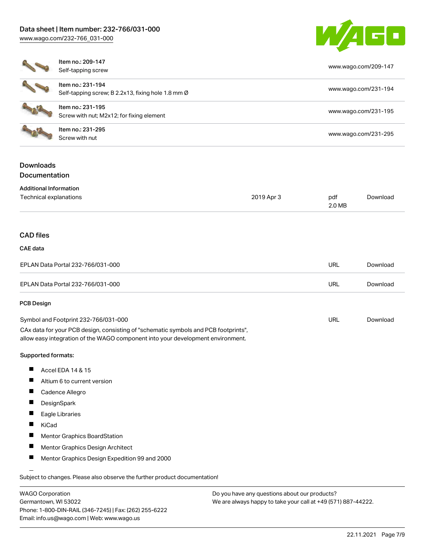### Data sheet | Item number: 232-766/031-000

[www.wago.com/232-766\\_031-000](http://www.wago.com/232-766_031-000)



|                                                         | Item no.: 209-147<br>Self-tapping screw<br>Item no.: 231-194<br>Self-tapping screw; B 2.2x13, fixing hole 1.8 mm Ø<br>Item no.: 231-195<br>Screw with nut; M2x12; for fixing element<br>Item no.: 231-295<br>Screw with nut |            |               | www.wago.com/209-147<br>www.wago.com/231-194<br>www.wago.com/231-195<br>www.wago.com/231-295 |  |  |
|---------------------------------------------------------|-----------------------------------------------------------------------------------------------------------------------------------------------------------------------------------------------------------------------------|------------|---------------|----------------------------------------------------------------------------------------------|--|--|
|                                                         |                                                                                                                                                                                                                             |            |               |                                                                                              |  |  |
|                                                         |                                                                                                                                                                                                                             |            |               |                                                                                              |  |  |
|                                                         |                                                                                                                                                                                                                             |            |               |                                                                                              |  |  |
| <b>Downloads</b><br>Documentation                       |                                                                                                                                                                                                                             |            |               |                                                                                              |  |  |
| <b>Additional Information</b><br>Technical explanations |                                                                                                                                                                                                                             | 2019 Apr 3 | pdf<br>2.0 MB | Download                                                                                     |  |  |
| <b>CAD files</b>                                        |                                                                                                                                                                                                                             |            |               |                                                                                              |  |  |
| CAE data                                                |                                                                                                                                                                                                                             |            |               |                                                                                              |  |  |
|                                                         | EPLAN Data Portal 232-766/031-000                                                                                                                                                                                           |            | URL           | Download                                                                                     |  |  |
|                                                         | EPLAN Data Portal 232-766/031-000                                                                                                                                                                                           |            | URL           | Download                                                                                     |  |  |
| <b>PCB Design</b>                                       |                                                                                                                                                                                                                             |            |               |                                                                                              |  |  |
|                                                         | Symbol and Footprint 232-766/031-000                                                                                                                                                                                        |            | <b>URL</b>    | Download                                                                                     |  |  |
|                                                         | CAx data for your PCB design, consisting of "schematic symbols and PCB footprints",<br>allow easy integration of the WAGO component into your development environment.                                                      |            |               |                                                                                              |  |  |
| Supported formats:                                      |                                                                                                                                                                                                                             |            |               |                                                                                              |  |  |
|                                                         | Accel EDA 14 & 15                                                                                                                                                                                                           |            |               |                                                                                              |  |  |
|                                                         | Altium 6 to current version                                                                                                                                                                                                 |            |               |                                                                                              |  |  |
|                                                         | Cadence Allegro                                                                                                                                                                                                             |            |               |                                                                                              |  |  |
| Ш                                                       |                                                                                                                                                                                                                             |            |               |                                                                                              |  |  |
| −                                                       | DesignSpark                                                                                                                                                                                                                 |            |               |                                                                                              |  |  |
|                                                         | Eagle Libraries                                                                                                                                                                                                             |            |               |                                                                                              |  |  |
| KiCad<br>Ш                                              |                                                                                                                                                                                                                             |            |               |                                                                                              |  |  |
|                                                         | Mentor Graphics BoardStation                                                                                                                                                                                                |            |               |                                                                                              |  |  |
|                                                         | Mentor Graphics Design Architect                                                                                                                                                                                            |            |               |                                                                                              |  |  |

WAGO Corporation Germantown, WI 53022 Phone: 1-800-DIN-RAIL (346-7245) | Fax: (262) 255-6222 Email: info.us@wago.com | Web: www.wago.us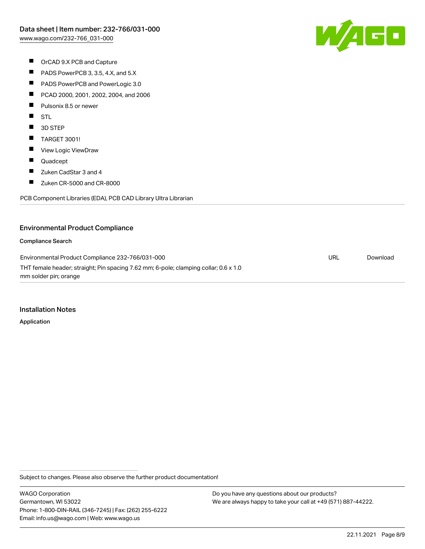

- OrCAD 9.X PCB and Capture
- $\blacksquare$ PADS PowerPCB 3, 3.5, 4.X, and 5.X
- $\blacksquare$ PADS PowerPCB and PowerLogic 3.0
- $\blacksquare$ PCAD 2000, 2001, 2002, 2004, and 2006
- $\blacksquare$ Pulsonix 8.5 or newer
- $\blacksquare$ **STL**
- $\blacksquare$ 3D STEP
- $\blacksquare$ TARGET 3001!
- $\blacksquare$ View Logic ViewDraw
- $\blacksquare$ Quadcept
- $\blacksquare$ Zuken CadStar 3 and 4
- $\blacksquare$ Zuken CR-5000 and CR-8000

PCB Component Libraries (EDA), PCB CAD Library Ultra Librarian

#### Environmental Product Compliance

#### Compliance Search

Environmental Product Compliance 232-766/031-000 THT female header; straight; Pin spacing 7.62 mm; 6-pole; clamping collar; 0.6 x 1.0 mm solder pin; orange URL [Download](https://www.wago.com/global/d/ComplianceLinkMediaContainer_232-766_031-000)

#### Installation Notes

Application

Subject to changes. Please also observe the further product documentation!

WAGO Corporation Germantown, WI 53022 Phone: 1-800-DIN-RAIL (346-7245) | Fax: (262) 255-6222 Email: info.us@wago.com | Web: www.wago.us